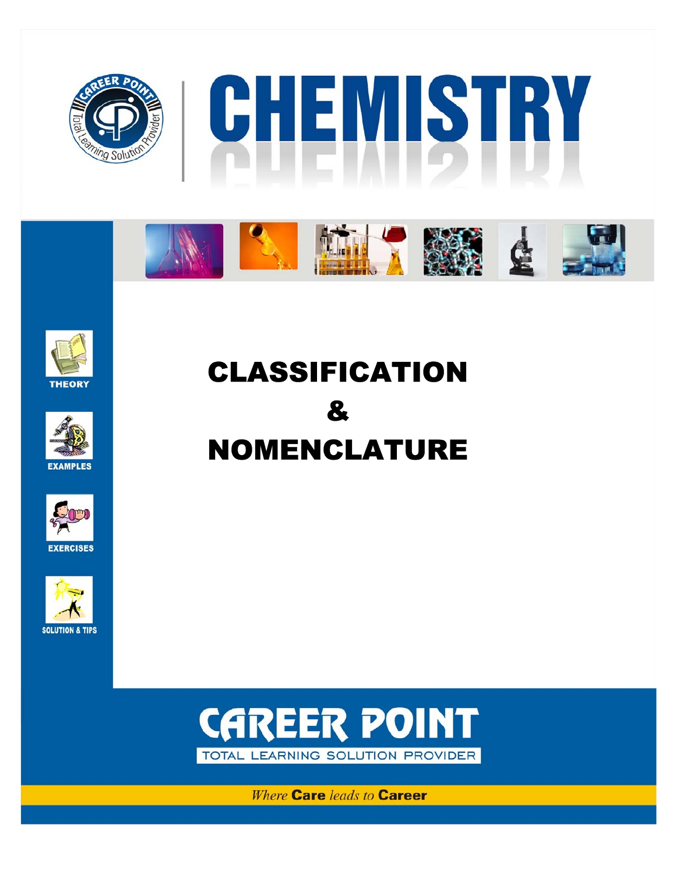















# CLASSIFICATION & NOMENCLATURE



**Where Care leads to Career Corporate Office:** CP Tower, IPIA, Road No.1, Kota (Raj.), Ph: 0744-3040000 (6 lines) Classification & Nomenclature **1**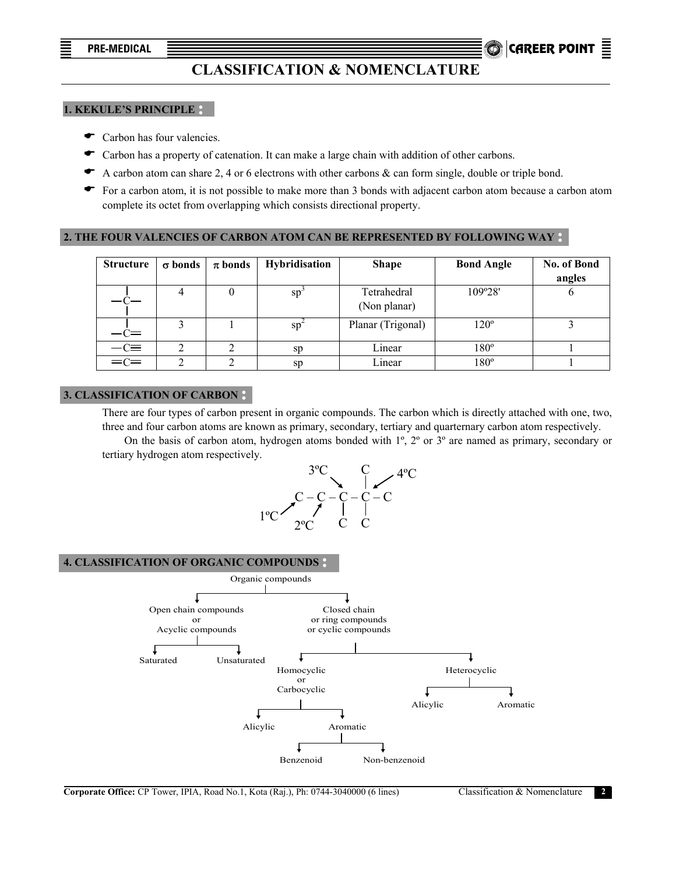**PRE-MEDICAL** CAREER POINT .

## **CLASSIFICATION & NOMENCLATURE**

#### **1. KEKULE'S PRINCIPLE**

- $\bullet$  Carbon has four valencies.
- $\blacktriangleright$  Carbon has a property of catenation. It can make a large chain with addition of other carbons.
- $\blacklozenge$  A carbon atom can share 2, 4 or 6 electrons with other carbons & can form single, double or triple bond.
- $\bullet$  For a carbon atom, it is not possible to make more than 3 bonds with adjacent carbon atom because a carbon atom complete its octet from overlapping which consists directional property.

## **2. THE FOUR VALENCIES OF CARBON ATOM CAN BE REPRESENTED BY FOLLOWING WAY**

| <b>Structure</b> | $\sigma$ bonds | $\pi$ bonds | Hybridisation | <b>Shape</b>                | <b>Bond Angle</b> | No. of Bond<br>angles |
|------------------|----------------|-------------|---------------|-----------------------------|-------------------|-----------------------|
|                  |                |             | $sp^{-}$      | Tetrahedral<br>(Non planar) | 109°28'           |                       |
| $-c=$            |                |             | $sp^2$        | Planar (Trigonal)           | $120^\circ$       |                       |
| $-c\equiv$       |                |             | sp            | Linear                      | $180^\circ$       |                       |
| $=$ $C=$         |                |             | sp            | Linear                      | $180^\circ$       |                       |

### **3. CLASSIFICATION OF CARBON**

 There are four types of carbon present in organic compounds. The carbon which is directly attached with one, two, three and four carbon atoms are known as primary, secondary, tertiary and quarternary carbon atom respectively.

 On the basis of carbon atom, hydrogen atoms bonded with 1º, 2º or 3º are named as primary, secondary or tertiary hydrogen atom respectively.



#### **4. CLASSIFICATION OF ORGANIC COMPOUNDS**

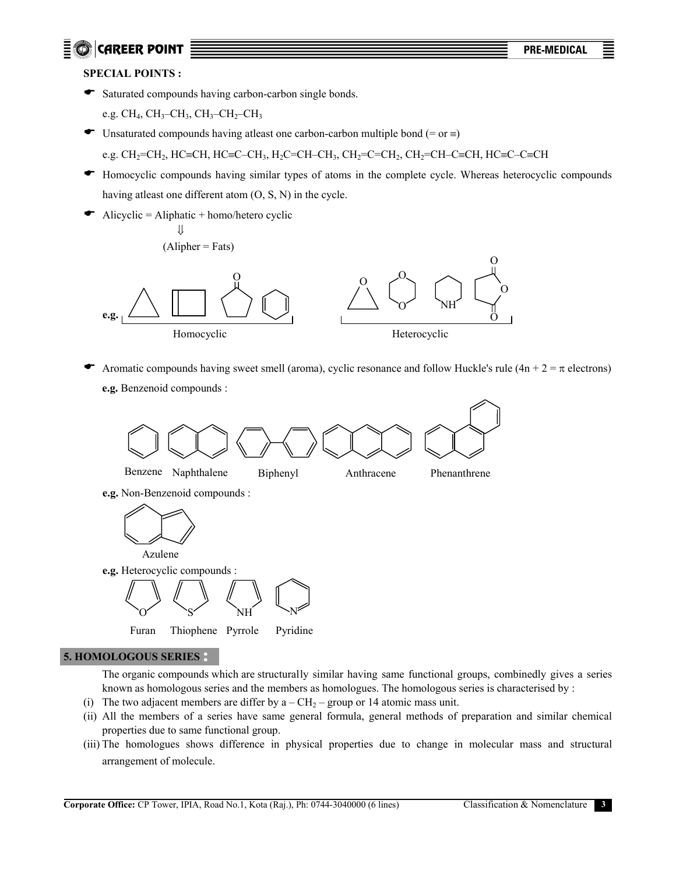## **E**  $\odot$  CAREER POINT  $\frac{1}{2}$  **PRE-MEDICAL**

## **SPECIAL POINTS :**

 $\bullet$  Saturated compounds having carbon-carbon single bonds.

e.g.  $CH_4$ ,  $CH_3$ – $CH_3$ ,  $CH_3$ – $CH_2$ – $CH_3$ 

- $\bullet$  Unsaturated compounds having atleast one carbon-carbon multiple bond (= or  $\equiv$ ) e.g. CH<sub>2</sub>=CH<sub>2</sub>, HC≡CH, HC≡C–CH<sub>3</sub>, H<sub>2</sub>C=CH–CH<sub>3</sub>, CH<sub>2</sub>=C=CH<sub>2</sub>, CH<sub>2</sub>=CH–C≡CH, HC≡C–C≡CH
- ( Homocyclic compounds having similar types of atoms in the complete cycle. Whereas heterocyclic compounds having atleast one different atom (O, S, N) in the cycle.
- $\bullet$  Alicyclic = Aliphatic + homo/hetero cyclic

$$
\Downarrow
$$
\n(Alipher = Fats)



Aromatic compounds having sweet smell (aroma), cyclic resonance and follow Huckle's rule ( $4n + 2 = \pi$  electrons)  **e.g.** Benzenoid compounds :



## **5. HOMOLOGOUS SERIES**

The organic compounds which are structurally similar having same functional groups, combinedly gives a series known as homologous series and the members as homologues. The homologous series is characterised by :

- (i) The two adjacent members are differ by  $a CH_2$  group or 14 atomic mass unit.
- (ii) All the members of a series have same general formula, general methods of preparation and similar chemical properties due to same functional group.
- (iii) The homologues shows difference in physical properties due to change in molecular mass and structural arrangement of molecule.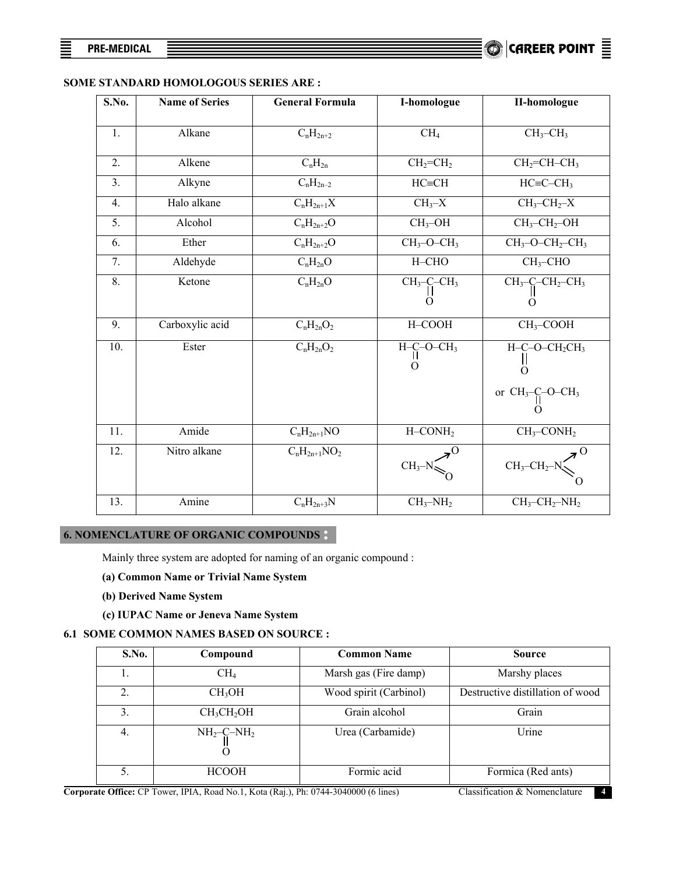## **SOME STANDARD HOMOLOGOUS SERIES ARE :**

| S.No. | <b>Name of Series</b> | <b>General Formula</b> | I-homologue      | <b>II-homologue</b>                      |
|-------|-----------------------|------------------------|------------------|------------------------------------------|
| 1.    | Alkane                | $C_nH_{2n+2}$          | CH <sub>4</sub>  | $CH_3$ -CH <sub>3</sub>                  |
| 2.    | Alkene                | $C_nH_{2n}$            | $CH2=CH2$        | $CH2=CH-CH3$                             |
| 3.    | Alkyne                | $C_nH_{2n-2}$          | $HC=CH$          | $HC = C - CH_3$                          |
| 4.    | Halo alkane           | $C_nH_{2n+1}X$         | $CH_3-X$         | $CH3-CH2-X$                              |
| 5.    | Alcohol               | $C_nH_{2n+2}O$         | $CH3-OH$         | $CH3-CH2-OH$                             |
| 6.    | Ether                 | $C_nH_{2n+2}O$         | $CH3-O-CH3$      | $CH3-O-CH2-CH3$                          |
| 7.    | Aldehyde              | $C_nH_{2n}O$           | $H-CHO$          | $CH3-CHO$                                |
| 8.    | Ketone                | $C_nH_{2n}O$           | $CH3-C-CH3$<br>O | $CH_3-C-CH_2-CH_3$<br>O                  |
| 9.    | Carboxylic acid       | $C_nH_{2n}O_2$         | H-COOH           | $CH3-COOH$                               |
| 10.   | Ester                 | $C_nH_{2n}O_2$         | $H-C-O-CH3$      | $H-C-O-CH_2CH_3$<br>$\Omega$             |
|       |                       |                        |                  | or $CH_3-C-O-CH_3$                       |
| 11.   | Amide                 | $C_nH_{2n+1}NO$        | $H$ –CON $H_2$   | $CH_3$ -CON $H_2$                        |
| 12.   | Nitro alkane          | $C_nH_{2n+1}NO_2$      | $CH_3-N$         | $CH_3-CH_2-N\right\}$                    |
| 13.   | Amine                 | $C_nH_{2n+3}N$         | $CH_3-NH_2$      | $CH_3$ -CH <sub>2</sub> -NH <sub>2</sub> |

## **6. NOMENCLATURE OF ORGANIC COMPOUNDS**

Mainly three system are adopted for naming of an organic compound :

## **(a) Common Name or Trivial Name System**

- **(b) Derived Name System**
- **(c) IUPAC Name or Jeneva Name System**

## **6.1 SOME COMMON NAMES BASED ON SOURCE :**

| <b>S.No.</b> | Compound                           | <b>Common Name</b>     | <b>Source</b>                    |
|--------------|------------------------------------|------------------------|----------------------------------|
|              | CH <sub>4</sub>                    | Marsh gas (Fire damp)  | Marshy places                    |
| 2.           | CH <sub>3</sub> OH                 | Wood spirit (Carbinol) | Destructive distillation of wood |
| 3.           | CH <sub>3</sub> CH <sub>2</sub> OH | Grain alcohol          | Grain                            |
| 4.           | $NH_2$ -C-NH <sub>2</sub>          | Urea (Carbamide)       | Urine                            |
|              | <b>HCOOH</b>                       | Formic acid            | Formica (Red ants)               |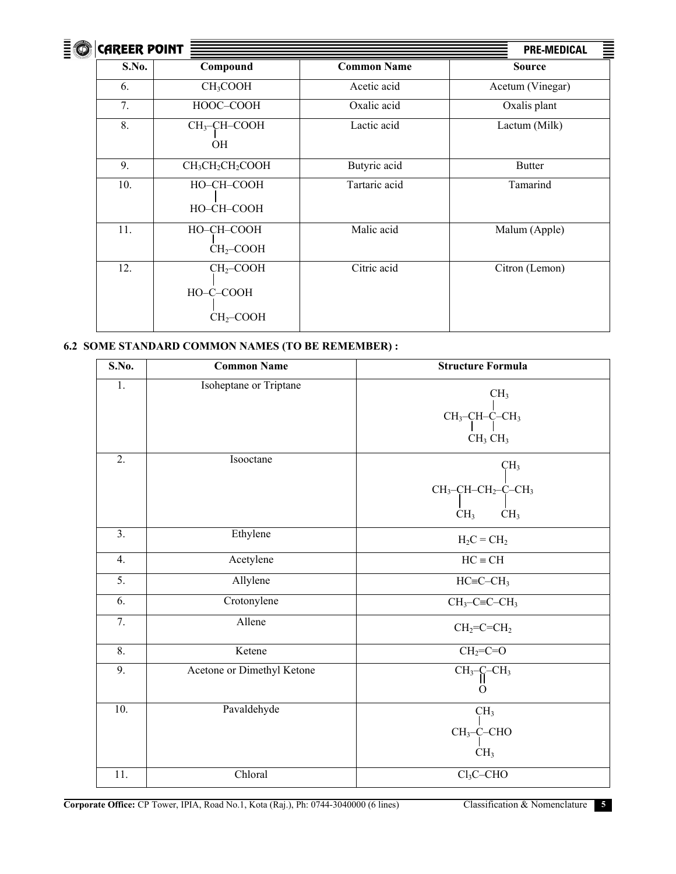

| <b>CAREER POINT</b> |                                                      | <b>PRE-MEDICAL</b> |                  |  |
|---------------------|------------------------------------------------------|--------------------|------------------|--|
| S.No.               | Compound                                             | <b>Common Name</b> | <b>Source</b>    |  |
| 6.                  | CH <sub>3</sub> COOH                                 | Acetic acid        | Acetum (Vinegar) |  |
| 7.                  | HOOC-COOH                                            | Oxalic acid        | Oxalis plant     |  |
| 8.                  | $CH3-CH-COOH$<br><b>OH</b>                           | Lactic acid        | Lactum (Milk)    |  |
| 9.                  | CH <sub>3</sub> CH <sub>2</sub> CH <sub>2</sub> COOH | Butyric acid       | <b>Butter</b>    |  |
| 10.                 | HO-CH-COOH<br>HO-CH-COOH                             | Tartaric acid      | Tamarind         |  |
| 11.                 | HO-CH-COOH<br>CH <sub>2</sub> -COOH                  | Malic acid         | Malum (Apple)    |  |
| 12.                 | $CH2-COOH$<br>HO-C-COOH<br>$CH2-COOH$                | Citric acid        | Citron (Lemon)   |  |

## **6.2 SOME STANDARD COMMON NAMES (TO BE REMEMBER) :**

| S.No.            | <b>Common Name</b>         | <b>Structure Formula</b>                                                                                        |
|------------------|----------------------------|-----------------------------------------------------------------------------------------------------------------|
| $\overline{1}$ . | Isoheptane or Triptane     | CH <sub>3</sub><br>CH <sub>3</sub> -CH-C-CH <sub>3</sub><br>CH <sub>3</sub> CH <sub>3</sub>                     |
| $\overline{2}$ . | Isooctane                  | CH <sub>3</sub><br>CH <sub>3</sub> -CH-CH <sub>2</sub> -C-CH <sub>3</sub><br>CH <sub>3</sub><br>CH <sub>3</sub> |
| 3.               | Ethylene                   | $H_2C = CH_2$                                                                                                   |
| 4.               | Acetylene                  | $HC \equiv CH$                                                                                                  |
| 5.               | Allylene                   | $HC = C - CH3$                                                                                                  |
| 6.               | Crotonylene                | $CH3-C\equiv C-CH3$                                                                                             |
| 7.               | Allene                     | $CH2=C=CH2$                                                                                                     |
| $\overline{8}$ . | Ketene                     | $CH2=C=O$                                                                                                       |
| 9.               | Acetone or Dimethyl Ketone | $CH_3–C–CH_3$<br>0                                                                                              |
| 10.              | Pavaldehyde                | CH <sub>3</sub><br>$CH_3$ -C-CHO<br>CH <sub>3</sub>                                                             |
| 11.              | Chloral                    | $Cl3C-CHO$                                                                                                      |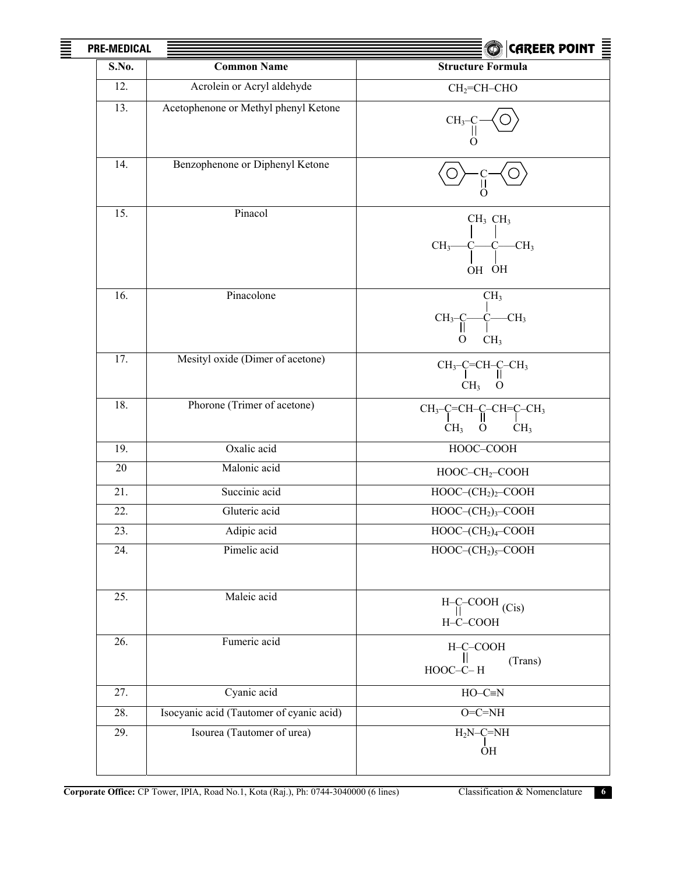| 亖 | <b>PRE-MEDICAL</b> |                                          | $\bigcirc$ Career point $\Xi$                                                 |
|---|--------------------|------------------------------------------|-------------------------------------------------------------------------------|
|   | S.No.              | <b>Common Name</b>                       | <b>Structure Formula</b>                                                      |
|   | 12.                | Acrolein or Acryl aldehyde               | $CH2=CH-CHO$                                                                  |
|   | 13.                | Acetophenone or Methyl phenyl Ketone     | CH <sub>3</sub>                                                               |
|   | 14.                | Benzophenone or Diphenyl Ketone          | O                                                                             |
|   | 15.                | Pinacol                                  | $CH3$ $CH3$<br>$CH3$ -<br>$C$ — $C$ — $CH3$<br>OH OH                          |
|   | 16.                | Pinacolone                               | CH <sub>3</sub><br>С—СН3<br>1<br>$CH_{3}$<br>CH <sub>3</sub><br>$\Omega$      |
|   | 17.                | Mesityl oxide (Dimer of acetone)         | $CH_3-C=CH-C-CH_3$<br>$CH3$ O                                                 |
|   | 18.                | Phorone (Trimer of acetone)              | $CH_3-C=CH-C-CH=C-CH_3$<br>CH <sub>3</sub><br>$\mathbf{O}$<br>CH <sub>3</sub> |
|   | 19.                | Oxalic acid                              | HOOC-COOH                                                                     |
|   | 20                 | Malonic acid                             | HOOC-CH <sub>2</sub> -COOH                                                    |
|   | 21.                | Succinic acid                            | $HOOC-(CH2)2-COOH$                                                            |
|   | 22.                | Gluteric acid                            | $HOOC-(CH2)3-COOH$                                                            |
|   | 23.                | Adipic acid                              | $HOOC-(CH2)4-COOH$                                                            |
|   | 24.                | Pimelic acid                             | $HOOC-(CH2)5-COOH$                                                            |
|   | 25.                | Maleic acid                              | $H-C-COOH$ (Cis)<br>H-C-COOH                                                  |
|   | 26.                | Fumeric acid                             | H-C-COOH<br>(Trans)<br>HOOC-C-H                                               |
|   | 27.                | Cyanic acid                              | $HO-C\equiv N$                                                                |
|   | 28.                | Isocyanic acid (Tautomer of cyanic acid) | $O=C=NH$                                                                      |
|   | 29.                | Isourea (Tautomer of urea)               | $H_2N-C=NH$<br>ÒН                                                             |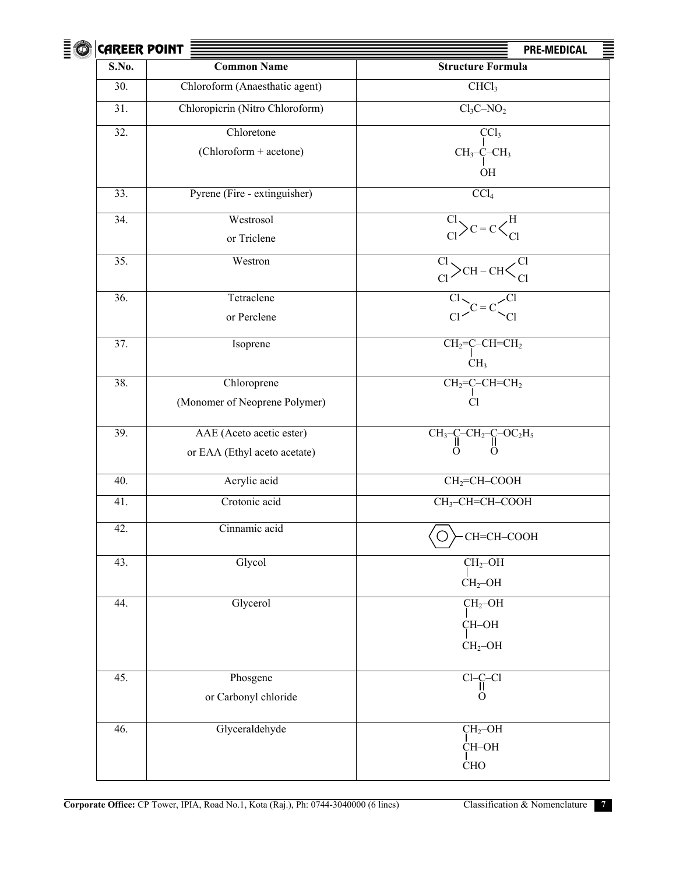| $\bar{E}$ | <b>CAREER POINT</b> |                                 | <b>PRE-MEDICAL</b><br>≣                                      |
|-----------|---------------------|---------------------------------|--------------------------------------------------------------|
|           | S.No.               | <b>Common Name</b>              | <b>Structure Formula</b>                                     |
|           | 30.                 | Chloroform (Anaesthatic agent)  | CHCl <sub>3</sub>                                            |
|           | 31.                 | Chloropicrin (Nitro Chloroform) | $Cl_3C-NO_2$                                                 |
|           | 32.                 | Chloretone                      | CCl <sub>3</sub>                                             |
|           |                     | (Chloroform + acetone)          | $CH3-C-CH3$                                                  |
|           |                     |                                 | $\rm OH$                                                     |
|           | 33.                 | Pyrene (Fire - extinguisher)    | CCl <sub>4</sub>                                             |
|           | 34.                 | Westrosol                       | $\overline{\text{Cl}}$ > C = C $\text{\textless}^{\text{H}}$ |
|           |                     | or Triclene                     |                                                              |
|           | 35.                 | Westron                         | C <sub>1</sub>                                               |
|           | 36.                 | Tetraclene                      | $\frac{C1}{C1}$ $\searrow$ CH – CH <                         |
|           |                     | or Perclene                     |                                                              |
|           |                     |                                 |                                                              |
|           | 37.                 | Isoprene                        | $CH2=C-CH=CH2$                                               |
|           |                     |                                 | CH <sub>3</sub>                                              |
|           | 38.                 | Chloroprene                     | $CH2=C-CH=CH2$                                               |
|           |                     | (Monomer of Neoprene Polymer)   | Cl                                                           |
|           | 39.                 | AAE (Aceto acetic ester)        | $CH_3-C-CH_2-C-OC_2H_5$                                      |
|           |                     | or EAA (Ethyl aceto acetate)    | O                                                            |
|           | 40.                 | Acrylic acid                    | $CH2=CH-COOH$                                                |
|           | 41.                 | Crotonic acid                   | CH <sub>3</sub> -CH=CH-COOH                                  |
|           | 42.                 | Cinnamic acid                   | CH=CH-COOH                                                   |
|           | 43.                 | Glycol                          | $CH2-OH$                                                     |
|           |                     |                                 | $CH2$ -OH                                                    |
|           | 44.                 | Glycerol                        | $CH2-OH$                                                     |
|           |                     |                                 | CH-OH                                                        |
|           |                     |                                 | $CH2-OH$                                                     |
|           | 45.                 | Phosgene                        | $Cl - C - Cl$                                                |
|           |                     | or Carbonyl chloride            | O                                                            |
|           | 46.                 | Glyceraldehyde                  | $CH2-OH$                                                     |
|           |                     |                                 | CH-OH                                                        |
|           |                     |                                 | <b>CHO</b>                                                   |
|           |                     |                                 |                                                              |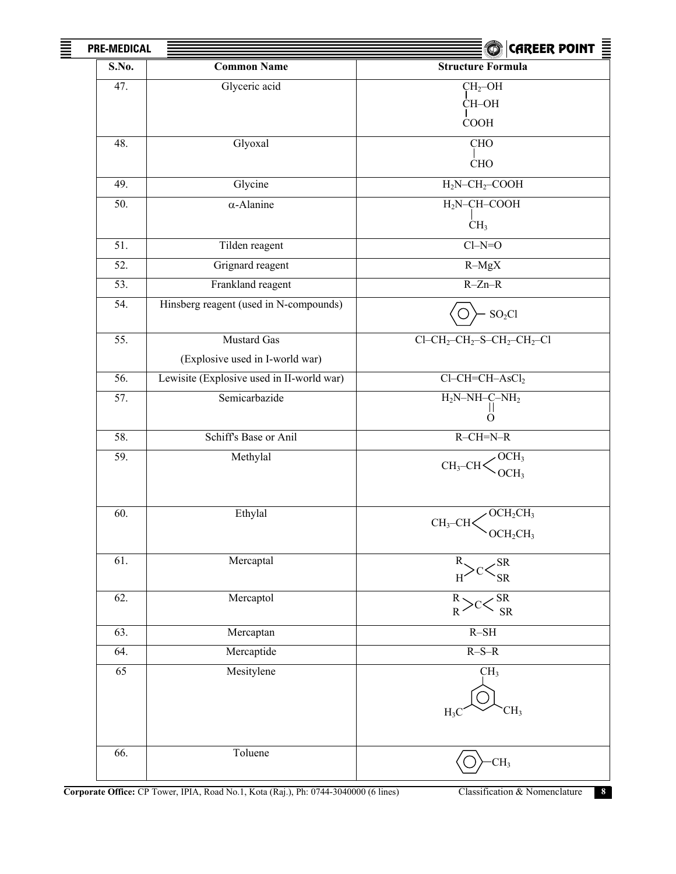| 亖<br><b>PRE-MEDICAL</b> |                                           | CAREER POINT $\boldsymbol{\bar{\equiv}}$<br>$\bigcirc$                         |
|-------------------------|-------------------------------------------|--------------------------------------------------------------------------------|
| S.No.                   | <b>Common Name</b>                        | <b>Structure Formula</b>                                                       |
| 47.                     | Glyceric acid                             | $CH2-OH$                                                                       |
|                         |                                           | CH-OH                                                                          |
|                         |                                           | <b>COOH</b>                                                                    |
| 48.                     | Glyoxal                                   | <b>CHO</b>                                                                     |
|                         |                                           | <b>CHO</b>                                                                     |
| 49.                     | Glycine                                   | $H_2N-CH_2$ -COOH                                                              |
| 50.                     | $\alpha$ -Alanine                         | $\rm H_2N\text{-}CH\text{-}COOH$                                               |
|                         |                                           | CH <sub>3</sub>                                                                |
| 51.                     | Tilden reagent                            | $Cl-N=O$                                                                       |
| 52.                     | Grignard reagent                          | $R-MgX$                                                                        |
| 53.                     | Frankland reagent                         | $R-Zn-R$                                                                       |
| 54.                     | Hinsberg reagent (used in N-compounds)    | $SO_2Cl$                                                                       |
| 55.                     | <b>Mustard Gas</b>                        | $Cl$ -CH <sub>2</sub> -CH <sub>2</sub> -S-CH <sub>2</sub> -CH <sub>2</sub> -Cl |
|                         | (Explosive used in I-world war)           |                                                                                |
| 56.                     | Lewisite (Explosive used in II-world war) | $Cl-CH=CH-AsCl2$                                                               |
| 57.                     | Semicarbazide                             | $H_2N-NH-C-NH_2$                                                               |
|                         |                                           | Ш<br>$\Omega$                                                                  |
| 58.                     | Schiff's Base or Anil                     | $R-\overline{CH=N-R}$                                                          |
| 59.                     | Methylal                                  | OCH <sub>3</sub><br>$CH_3$ -CH $\leq$                                          |
|                         |                                           | OCH <sub>3</sub>                                                               |
|                         |                                           |                                                                                |
| 60.                     | Ethylal                                   | $\angle$ OCH <sub>2</sub> CH <sub>3</sub><br>$CH_3$ -CH $\lt$                  |
|                         |                                           | $\text{OCH}_2\text{CH}_3$                                                      |
| 61.                     | Mercaptal                                 | SR                                                                             |
|                         |                                           | SR                                                                             |
| 62.                     | Mercaptol                                 | $\overline{\text{SR}}$<br>$R \cdot$                                            |
|                         |                                           | <b>SR</b><br>$R^{\circ}$                                                       |
| 63.                     | Mercaptan                                 | $R-SH$                                                                         |
| 64.                     | Mercaptide                                | $R-S-R$                                                                        |
| 65                      | Mesitylene                                | CH <sub>3</sub>                                                                |
|                         |                                           |                                                                                |
|                         |                                           | CH <sub>3</sub><br>$H_3$                                                       |
|                         |                                           |                                                                                |
| 66.                     | Toluene                                   | CH <sub>3</sub>                                                                |
|                         |                                           |                                                                                |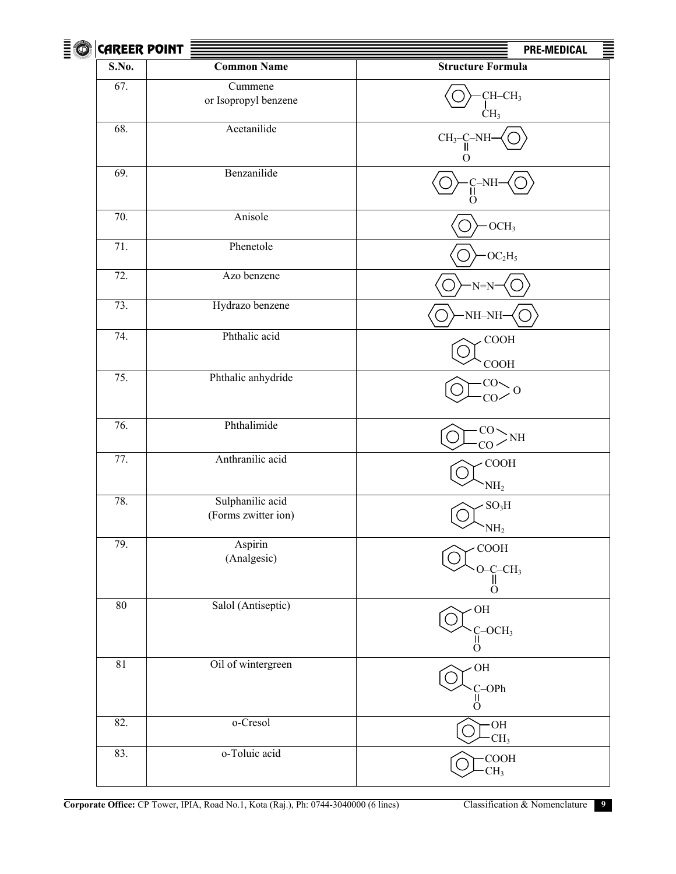| $\bar{\bar{z}}$ | <b>CAREER POINT</b> |                                         | 亖<br><b>PRE-MEDICAL</b>                        |
|-----------------|---------------------|-----------------------------------------|------------------------------------------------|
|                 | S.No.               | <b>Common Name</b>                      | <b>Structure Formula</b>                       |
|                 | 67.                 | Cummene<br>or Isopropyl benzene         | CH-CH <sub>3</sub><br>$\rm CH_{3}$             |
|                 | 68.                 | Acetanilide                             | $CH3-C-N1$<br>O                                |
|                 | 69.                 | Benzanilide                             | -NH<br>$\Omega$                                |
|                 | 70.                 | Anisole                                 | $- OCH3$                                       |
|                 | 71.                 | Phenetole                               | $-OC2H5$                                       |
|                 | 72.                 | Azo benzene                             | $N=N$                                          |
|                 | 73.                 | Hydrazo benzene                         | NH-NH                                          |
|                 | 74.                 | Phthalic acid                           | COOH<br>COOH                                   |
|                 | 75.                 | Phthalic anhydride                      | CO-<br>O<br>CO <sub>2</sub>                    |
|                 | 76.                 | Phthalimide                             | CO.<br>$>$ NH<br>CO <sub>2</sub>               |
|                 | 77.                 | Anthranilic acid                        | <b>COOH</b><br>NH <sub>2</sub>                 |
|                 | 78.                 | Sulphanilic acid<br>(Forms zwitter ion) | $SO_3H$<br>NH <sub>2</sub>                     |
|                 | 79.                 | Aspirin<br>(Analgesic)                  | $\rm COOH$<br>$O-C-CH3$<br>$\ddot{\mathrm{o}}$ |
|                 | 80                  | Salol (Antiseptic)                      | $\rm OH$<br>$C-OCH3$<br>Ö                      |
|                 | 81                  | Oil of wintergreen                      | $\rm OH$<br>$C$ -OPh<br>$\Omega$               |
|                 | 82.                 | o-Cresol                                | HO-<br>CH <sub>3</sub>                         |
|                 | 83.                 | o-Toluic acid                           | $\rm COOH$<br>CH <sub>3</sub>                  |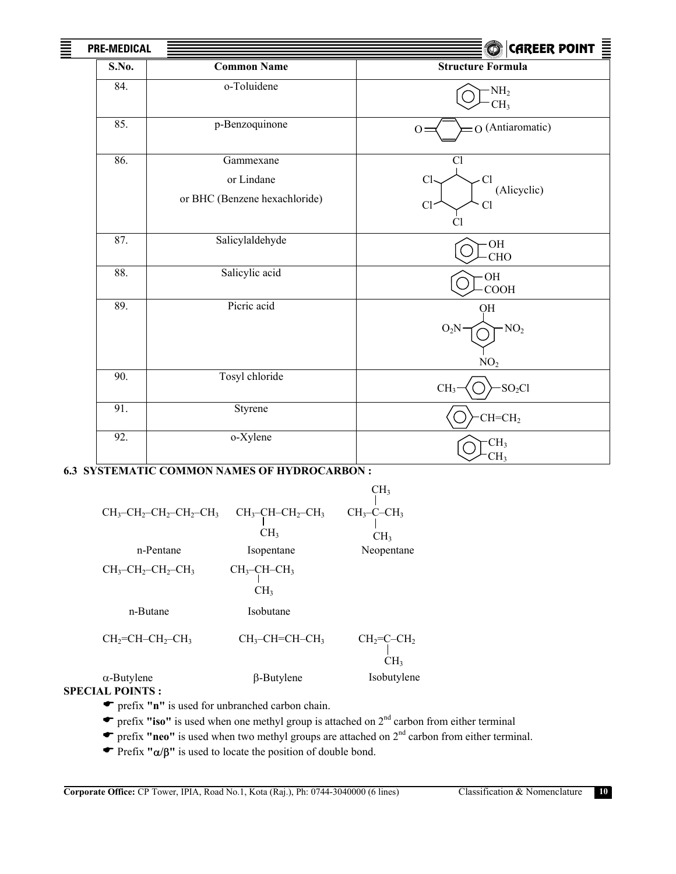| <b>PRE-MEDICAL</b> |                                                          | $ $ CAREER POINT $\equiv$<br>$\bigcirc$         |
|--------------------|----------------------------------------------------------|-------------------------------------------------|
| S.No.              | <b>Common Name</b>                                       | <b>Structure Formula</b>                        |
| 84.                | o-Toluidene                                              | $-NH_2$<br>CH <sub>3</sub>                      |
| 85.                | p-Benzoquinone                                           | O (Antiaromatic)<br>$O=$                        |
| 86.                | Gammexane<br>or Lindane<br>or BHC (Benzene hexachloride) | Cl<br>Cl<br>Cl<br>(Alicyclic)<br>Cl<br>Cl<br>Сl |
| 87.                | Salicylaldehyde                                          | OH<br><b>CHO</b>                                |
| 88.                | Salicylic acid                                           | OH<br>COOH                                      |
| 89.                | Picric acid                                              | QH<br>$-NO2$<br>$O_2N$<br>NO <sub>2</sub>       |
| $\overline{90}$ .  | Tosyl chloride                                           | $-SO2Cl$<br>CH <sub>3</sub>                     |
| 91.                | Styrene                                                  | $CH=CH2$                                        |
| 92.                | o-Xylene                                                 | CH <sub>3</sub><br>CH <sub>3</sub>              |

## **6.3 SYSTEMATIC COMMON NAMES OF HYDROCARBON :**

≣

|                                                                            |                                                                | CH <sub>3</sub>                |
|----------------------------------------------------------------------------|----------------------------------------------------------------|--------------------------------|
| $CH_3$ -CH <sub>2</sub> -CH <sub>2</sub> -CH <sub>2</sub> -CH <sub>3</sub> | $CH_3$ -CH-CH <sub>2</sub> -CH <sub>3</sub><br>CH <sub>3</sub> | $CH_3$ -C-CH <sub>3</sub>      |
|                                                                            |                                                                | CH <sub>3</sub>                |
| n-Pentane                                                                  | Isopentane                                                     | Neopentane                     |
| $CH_3$ -CH <sub>2</sub> -CH <sub>2</sub> -CH <sub>3</sub>                  | $CH_3$ -CH-CH <sub>3</sub><br>CH <sub>3</sub>                  |                                |
|                                                                            |                                                                |                                |
| n-Butane                                                                   | Isobutane                                                      |                                |
| $CH2=CH-CH2-CH3$                                                           | $CH3-CH=CH-CH3$                                                | $CH2=C-CH2$<br>CH <sub>3</sub> |
| $\alpha$ -Butylene<br><b>SPECIAL POINTS :</b>                              | $\beta$ -Butylene                                              | Isobutylene                    |

( prefix **"n"** is used for unbranched carbon chain.

- ( prefix **"iso"** is used when one methyl group is attached on 2nd carbon from either terminal
- **F** prefix **"neo"** is used when two methyl groups are attached on 2<sup>nd</sup> carbon from either terminal.
- ( Prefix **"**α**/**β**"** is used to locate the position of double bond.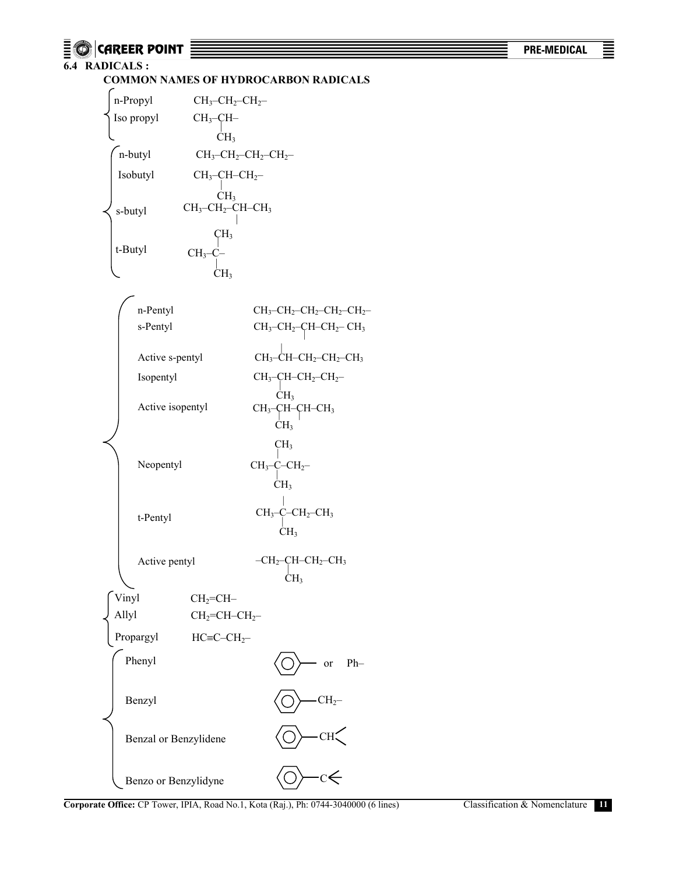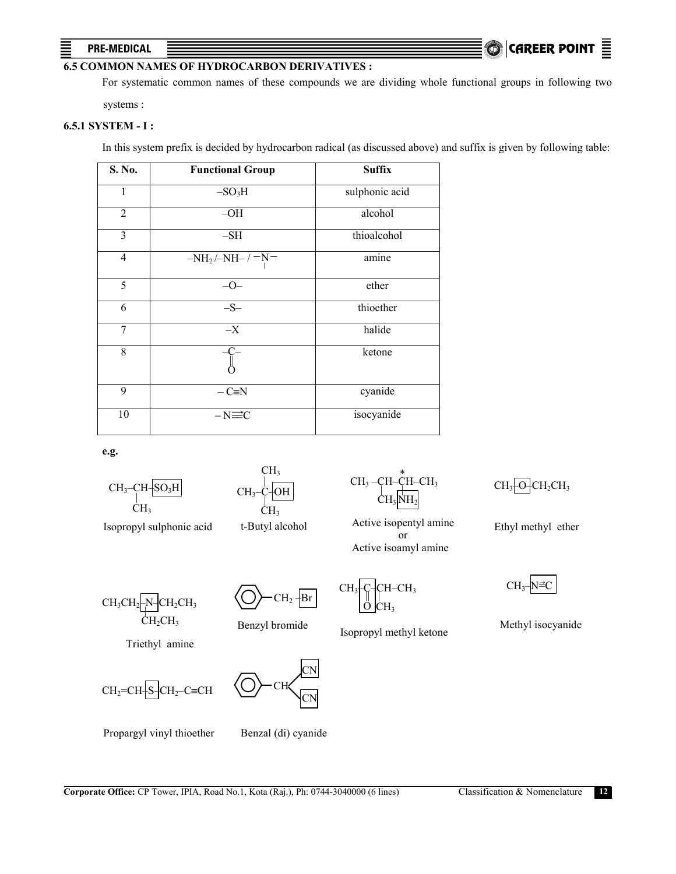## $P$ RE-MEDICAL  $\quad \equiv$   $\qquad \qquad$

## **6.5 COMMON NAMES OF HYDROCARBON DERIVATIVES :**

For systematic common names of these compounds we are dividing whole functional groups in following two systems :

## **6.5.1 SYSTEM - I :**

In this system prefix is decided by hydrocarbon radical (as discussed above) and suffix is given by following table:

| S. No.         | <b>Functional Group</b> | <b>Suffix</b>  |
|----------------|-------------------------|----------------|
| 1              | $-SO3H$                 | sulphonic acid |
| $\overline{2}$ | $-OH$                   | alcohol        |
| $\overline{3}$ | $-SH$                   | thioalcohol    |
| $\overline{4}$ | $-NH_2/MH_-$ / $-N$     | amine          |
| 5              | $-0-$                   | ether          |
| 6              | $-S-$                   | thioether      |
| 7              | $-\mathbf{X}$           | halide         |
| $8\,$          | $C-$                    | ketone         |
| 9              | $-C=N$                  | cyanide        |
| 10             | $-N\equiv C$            | isocyanide     |

 **e.g.** 

- |  $CH<sub>3</sub>-CH<sub>3</sub>$  $CH<sub>3</sub>$
- Isopropyl sulphonic acid

| CH<sub>3</sub> CH3–C–OH | CH<sub>3</sub>

t-Butyl alcohol

 $CH_3$  –CH–CH–CH<sub>3</sub> CH3 |  $\mathrm{NH}_2$ 

Active isopentyl amine or Active isoamyl amine

 $CH_3CH_2$ -N-CH<sub>2</sub>CH<sub>3</sub> | CH<sub>2</sub>CH<sub>3</sub>

 $CH<sub>2</sub> + Br$ 

Benzyl bromide

CH<sub>3</sub>-C-CH–CH<sub>3</sub> ||  $\overline{O}$ | CH3

Isopropyl methyl ketone

 $CH_3$  $OH_2CH_2CH_3$ 

Ethyl methyl ether

CH<sub>3</sub> →

Methyl isocyanide

Triethyl amine

 $CH_2=CH$ <sub>2</sub>– $CH_2$ – $CH_2$ =C $CH$ 



Propargyl vinyl thioether

Benzal (di) cyanide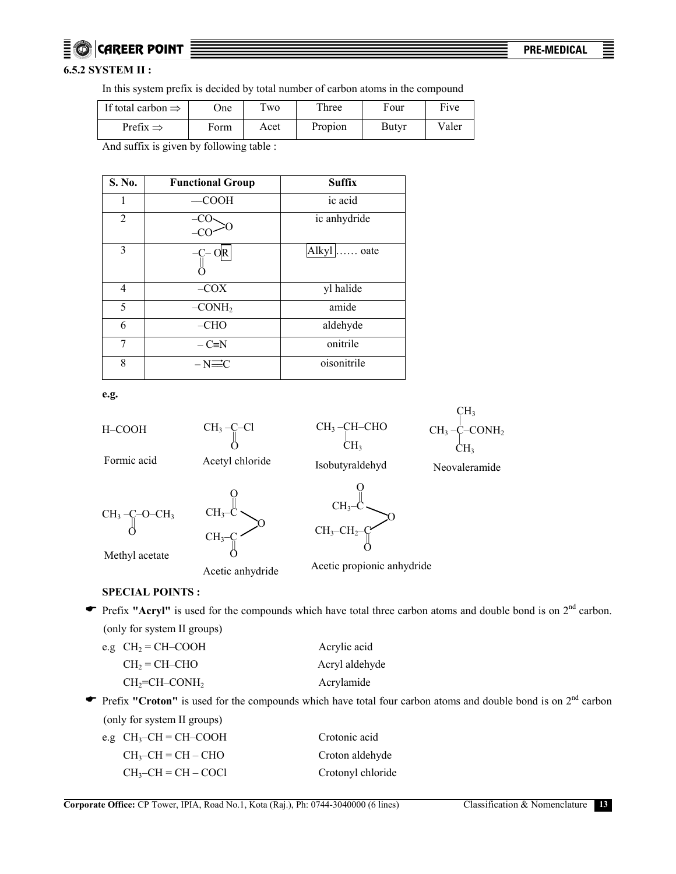## **CAREER POINT <del>. And a series and a series and a series and a series of the MEDICAL**</del>

## **6.5.2 SYSTEM II :**

In this system prefix is decided by total number of carbon atoms in the compound

| If total carbon $\Rightarrow$ | <b>One</b> | $T_{\rm WO}$ | Three   | Four         | Five  |
|-------------------------------|------------|--------------|---------|--------------|-------|
| Prefix $\Rightarrow$          | Form       | Acet         | Propion | <b>Butyr</b> | Valer |

And suffix is given by following table :

| S. No.         | <b>Functional Group</b> | <b>Suffix</b> |
|----------------|-------------------------|---------------|
|                | <b>COOH</b>             | ic acid       |
| $\overline{2}$ |                         | ic anhydride  |
| 3              |                         | Alkyl  oate   |
| 4              | $-COX$                  | yl halide     |
| 5              | $-CONH2$                | amide         |
| 6              | $-CHO$                  | aldehyde      |
| 7              | $-C=N$                  | onitrile      |
| 8              | $-N\equiv C$            | oisonitrile   |

**e.g.** 



Acetic anhydride

Acetic propionic anhydride

## **SPECIAL POINTS :**

• Prefix "Acryl" is used for the compounds which have total three carbon atoms and double bond is on 2<sup>nd</sup> carbon. (only for system II groups)

| e.g $CH_2 = CH-COOH$ | Acrylic acid   |
|----------------------|----------------|
| $CH2 = CH-CHO$       | Acryl aldehyde |
| $CH2=CH-CONH2$       | Acrylamide     |

• Prefix "Croton" is used for the compounds which have total four carbon atoms and double bond is on 2<sup>nd</sup> carbon (only for system II groups)

> Crotonic acid Croton aldehyde Crotonyl chloride

| e.g $CH_3$ -CH = CH-COOH |
|--------------------------|
| $CH_3$ -CH = CH – CHO    |
| $CH_3$ -CH = CH – COCI   |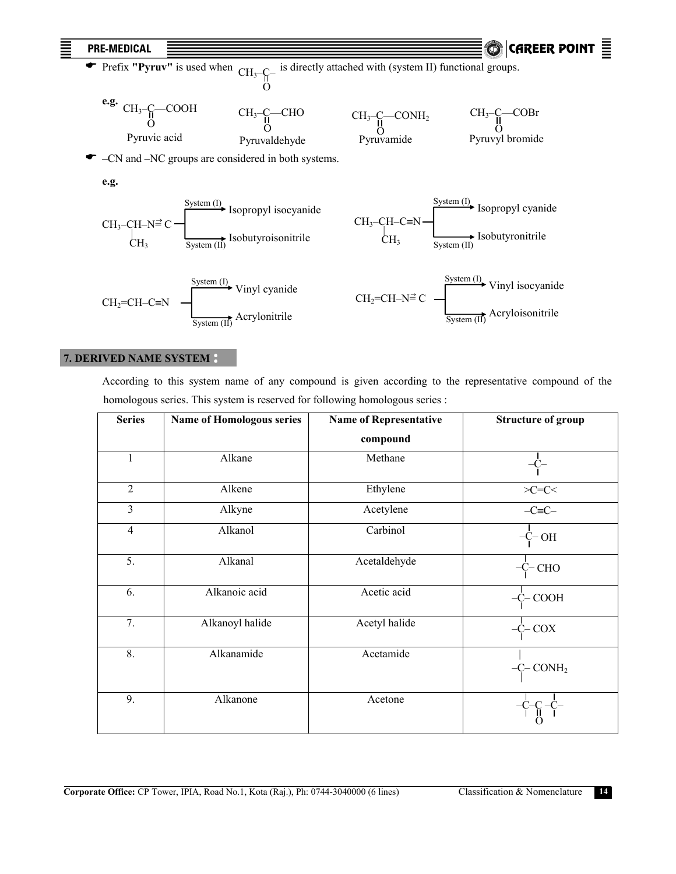

## **7. DERIVED NAME SYSTEM**

 According to this system name of any compound is given according to the representative compound of the homologous series. This system is reserved for following homologous series :

| <b>Series</b>  | <b>Name of Homologous series</b> | <b>Name of Representative</b> | <b>Structure of group</b> |
|----------------|----------------------------------|-------------------------------|---------------------------|
|                |                                  | compound                      |                           |
| $\mathbf{1}$   | Alkane                           | Methane                       |                           |
| $\overline{2}$ | Alkene                           | Ethylene                      | $>\!\!C=\!\!C\!\!<$       |
| 3              | Alkyne                           | Acetylene                     | $-C=$ $C-$                |
| $\overline{4}$ | Alkanol                          | Carbinol                      | -C- OH                    |
| 5.             | Alkanal                          | Acetaldehyde                  | $-C-CHO$                  |
| 6.             | Alkanoic acid                    | Acetic acid                   | $-C$ COOH                 |
| 7.             | Alkanoyl halide                  | Acetyl halide                 | $-C-COX$                  |
| 8.             | Alkanamide                       | Acetamide                     | $-C$ CONH <sub>2</sub>    |
| 9.             | Alkanone                         | Acetone                       |                           |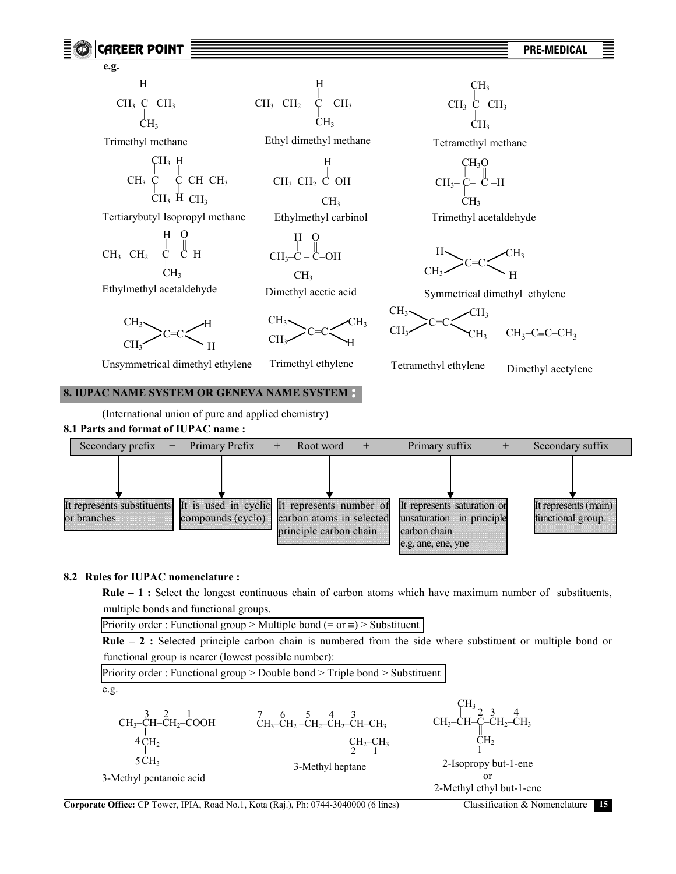



#### **8.2 Rules for IUPAC nomenclature :**

 **Rule – 1 :** Select the longest continuous chain of carbon atoms which have maximum number of substituents, multiple bonds and functional groups.

Priority order : Functional group > Multiple bond (= or  $\equiv$ ) > Substituent

 **Rule – 2 :** Selected principle carbon chain is numbered from the side where substituent or multiple bond or functional group is nearer (lowest possible number):

Priority order : Functional group > Double bond > Triple bond > Substituent e.g. CH3–CH–CH2–COOH CH2 CH3 3 2 1 4 5 3-Methyl pentanoic acid CH3–CH2 –CH2–CH2–CH–CH3 <sup>|</sup> CH2–CH3 2 1 7 6 5 4 3 3-Methyl heptane CH3–CH–C–CH2–CH3 CH2 CH3 || 1 2 3 4 2-Isopropy but-1-ene or 2-Methyl ethyl but-1-ene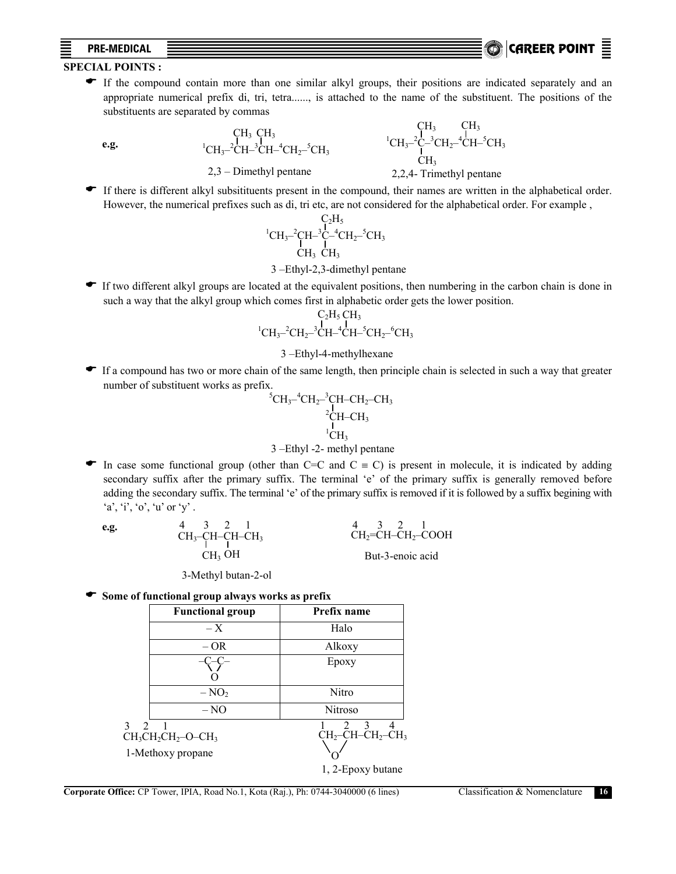## **PRE-MEDICAL** CAREER POINT .

## **SPECIAL POINTS :**

( If the compound contain more than one similar alkyl groups, their positions are indicated separately and an appropriate numerical prefix di, tri, tetra......, is attached to the name of the substituent. The positions of the substituents are separated by commas

**e.g.** 1

2,3 – Dimethyl pentane

 $CH_3$ <sup>-2</sup>CH<sup>-3</sup>CH<sup>-4</sup>CH<sub>2</sub><sup>-5</sup>CH<sub>3</sub> CH<sub>3</sub> CH<sub>3</sub>

 ${}^{1}CH_{3}$ <sup>-2</sup>C<sup>-3</sup>CH<sub>2</sub><sup>-4</sup>CH<sup>-5</sup>CH<sub>3</sub> CH<sub>3</sub>  $CH<sub>3</sub>$   $CH<sub>3</sub>$ 2,2,4- Trimethyl pentane

( If there is different alkyl subsitituents present in the compound, their names are written in the alphabetical order. However, the numerical prefixes such as di, tri etc, are not considered for the alphabetical order. For example ,

$$
\begin{array}{c} C_2H_5 \\ {}^1CH_3\text{--}\!\!{^2}C H\text{--}\!\!{^3}C\text{--}\!\!{^4}C H_2\text{--}\!\!{^5}C H_3 \\ {}^1CH_3 \text{--}\!\!{^1}C H_3 \end{array}
$$

## 3 –Ethyl-2,3-dimethyl pentane

If two different alkyl groups are located at the equivalent positions, then numbering in the carbon chain is done in such a way that the alkyl group which comes first in alphabetic order gets the lower position.

$$
\begin{array}{c} C_2H_5\,CH_3 \\ {}^1C H_3-{}^2CH_2-{}^3CH-{}^4CH-{}^5CH_2-{}^6CH_3 \end{array}
$$

#### 3 –Ethyl-4-methylhexane

If a compound has two or more chain of the same length, then principle chain is selected in such a way that greater number of substituent works as prefix.

$$
{}^{5}CH_{3}^{-4}CH_{2}^{-3}CH-CH_{2}-CH_{3} \\ {}^{2}CH-CH_{3}\\ {}^{1}CH_{3}\\ {}^{1}CH_{3}
$$

#### 3 –Ethyl -2- methyl pentane

In case some functional group (other than C=C and C  $\equiv$  C) is present in molecule, it is indicated by adding secondary suffix after the primary suffix. The terminal 'e' of the primary suffix is generally removed before adding the secondary suffix. The terminal 'e' of the primary suffix is removed if it is followed by a suffix begining with  $a', i', o', u'$  or  $y'$ .

**e.g.** 
$$
4 \quad 3 \quad 2 \quad 1
$$
\n
$$
CH_3-CH-CH-CH_3
$$
\n
$$
CH_3OH
$$
\n
$$
CH_3OH
$$
\n
$$
But-3-enoic acid
$$

3-Methyl butan-2-ol

( **Some of functional group always works as prefix**

|                                 | <b>Functional group</b>        | Prefix name                                                        |
|---------------------------------|--------------------------------|--------------------------------------------------------------------|
|                                 | $- X$                          | Halo                                                               |
|                                 | – OR                           | Alkoxy                                                             |
|                                 |                                | Epoxy                                                              |
|                                 |                                |                                                                    |
|                                 | $-NO2$                         | Nitro                                                              |
|                                 | $-NO$                          | <b>Nitroso</b>                                                     |
| $\mathcal{E}$<br>$\overline{2}$ | $CH3CH2CH2$ -O-CH <sub>3</sub> | 3 <sub>l</sub><br>2<br>$CH_2$ -CH-CH <sub>2</sub> -CH <sub>3</sub> |
|                                 | 1-Methoxy propane              |                                                                    |
|                                 |                                | 1, 2-Epoxy butane                                                  |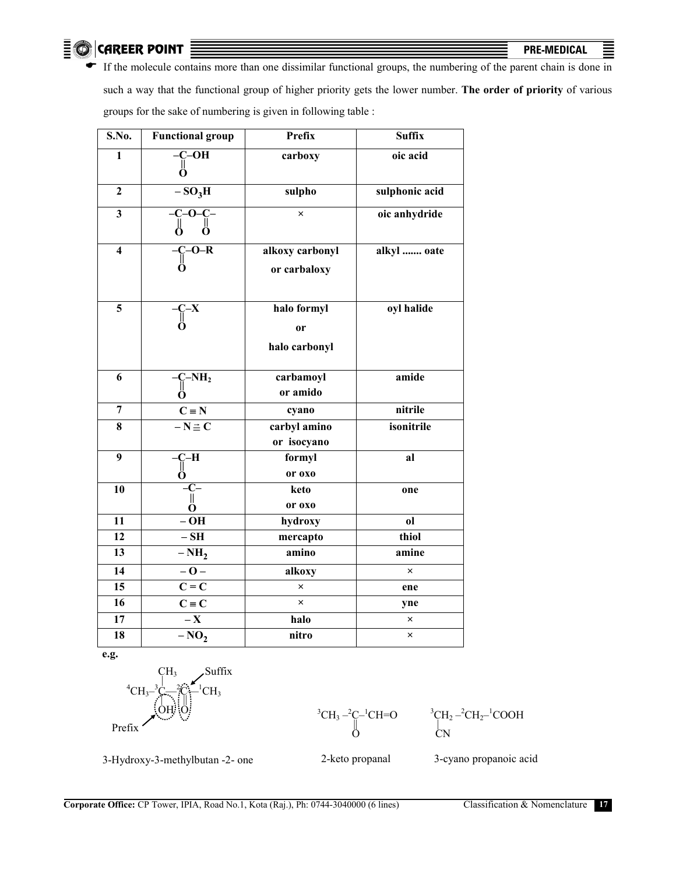$\odot$  career point  $\equiv$  **PRE-MEDICAL**  $\equiv$  **PRE-MEDICAL** 

 $\bar{\Xi}$ 

If the molecule contains more than one dissimilar functional groups, the numbering of the parent chain is done in such a way that the functional group of higher priority gets the lower number. **The order of priority** of various groups for the sake of numbering is given in following table :

| S.No.                   | <b>Functional group</b>                                   | <b>Prefix</b>                                 | <b>Suffix</b>  |
|-------------------------|-----------------------------------------------------------|-----------------------------------------------|----------------|
| $\mathbf{1}$            | $-C-\overline{OH}$<br>O                                   | carboxy                                       | oic acid       |
| $\mathbf{2}$            | $-SO3H$                                                   | sulpho                                        | sulphonic acid |
| $\mathbf{3}$            | $C$ –O– $\overline{C}$ –<br>Ŭ<br>Ö<br>О                   | $\times$                                      | oic anhydride  |
| $\overline{\mathbf{4}}$ | $C$ -O-R<br>Ö                                             | alkoxy carbonyl<br>or carbaloxy               | alkyl  oate    |
| 5                       | $-\overline{C-X}$<br>0                                    | halo formyl<br><sub>or</sub><br>halo carbonyl | oyl halide     |
| 6                       | $\overline{C}$ - $\overline{NH_2}$<br>O                   | carbamoyl<br>or amido                         | amide          |
| $\overline{7}$          | $C \equiv N$                                              | cyano                                         | nitrile        |
| 8                       | $-\mathbf{N} \equiv \mathbf{C}$                           | carbyl amino<br>or isocyano                   | isonitrile     |
| $\overline{9}$          | -H<br>C-<br>  <br>О                                       | formyl<br>or oxo                              | al             |
| 10                      | $-c-$<br>$\ensuremath{\mathsf{II}}$<br>$\dot{\mathbf{O}}$ | keto<br>or oxo                                | one            |
| 11                      | $-OH$                                                     | hydroxy                                       | 0 <sup>1</sup> |
| $\overline{12}$         | $-$ SH                                                    | mercapto                                      | thiol          |
| $\overline{13}$         | $-NH2$                                                    | amino                                         | amine          |
| 14                      | $-0-$                                                     | alkoxy                                        | $\times$       |
| 15                      | $\overline{C} = \overline{C}$                             | $\times$                                      | ene            |
| 16                      | $C \equiv C$                                              | $\times$                                      | yne            |
| 17                      | $-\mathbf{X}$                                             | halo                                          | ×              |
| 18                      | $-NO2$                                                    | nitro                                         | ×              |

**e.g.** 





 $\mathrm{^{3}CH_{2}-^{2}CH_{2}-^{1}COOH}$ | CN

3-Hydroxy-3-methylbutan -2- one

2-keto propanal

3-cyano propanoic acid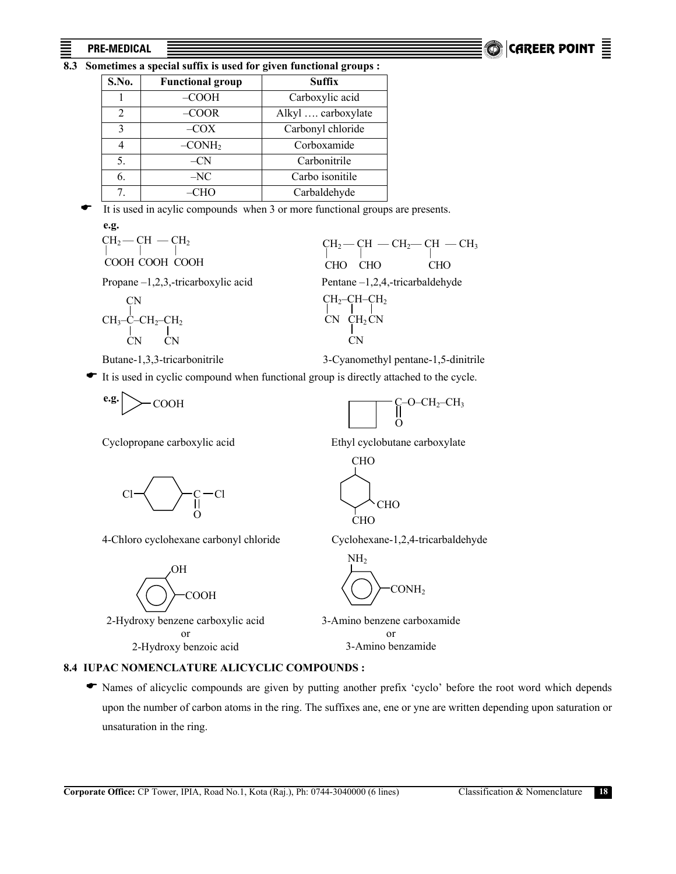## $P$ RE-MEDICAL  $\Box$ **CAREER POINT**

## **8.3 Sometimes a special suffix is used for given functional groups :**

| S.No.          | <b>Functional group</b> | <b>Suffix</b>      |
|----------------|-------------------------|--------------------|
|                | $-COOH$                 | Carboxylic acid    |
| $\overline{2}$ | $-COOR$                 | Alkyl  carboxylate |
| 3              | $-COX$                  | Carbonyl chloride  |
|                | $-CONH2$                | Corboxamide        |
| 5.             | $-CN$                   | Carbonitrile       |
| 6.             | $-NC$                   | Carbo isonitile    |
| 7.             | –CHO                    | Carbaldehyde       |

It is used in acylic compounds when 3 or more functional groups are presents. **e.g.** 

| $CH_2$ – CH – CH <sub>2</sub><br>COOH COOH COOH | $CH_2$ – CH – CH <sub>2</sub> – CH – CH <sub>3</sub><br><b>CHO</b><br>CHO.<br>CHO |
|-------------------------------------------------|-----------------------------------------------------------------------------------|
| Propane $-1,2,3$ , tricarboxylic acid           | Pentane $-1,2,4,$ -tricarbaldehyde                                                |
| <b>CN</b><br>$CH_3-C-CH_2-CH_2$<br>CN.<br>CN.   | $CH_2$ -CH-CH <sub>2</sub><br>$CN$ $CH2CN$<br>CN.                                 |
|                                                 |                                                                                   |



 $\ddot{\Omega}$ 

**-O–CH<sub>2</sub>–CH<sub>3</sub>** 

It is used in cyclic compound when functional group is directly attached to the cycle.

$$
\mathbf{e.g.} \bigg|_{\text{COOH}}
$$

Cyclopropane carboxylic acid Ethyl cyclobutane carboxylate



4-Chloro cyclohexane carbonyl chloride Cyclohexane-1,2,4-tricarbaldehyde



2-Hydroxy benzene carboxylic acid or 2-Hydroxy benzoic acid



CHO

**CHO** 

CHO

3-Amino benzene carboxamide or

3-Amino benzamide

## **8.4 IUPAC NOMENCLATURE ALICYCLIC COMPOUNDS :**

 ( Names of alicyclic compounds are given by putting another prefix 'cyclo' before the root word which depends upon the number of carbon atoms in the ring. The suffixes ane, ene or yne are written depending upon saturation or unsaturation in the ring.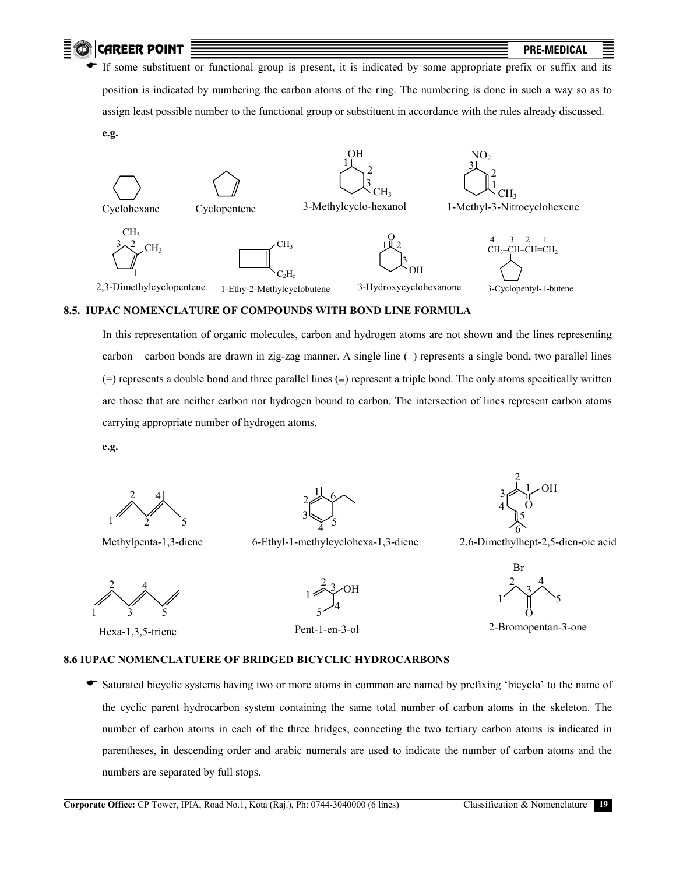



## **8.5. IUPAC NOMENCLATURE OF COMPOUNDS WITH BOND LINE FORMULA**

 In this representation of organic molecules, carbon and hydrogen atoms are not shown and the lines representing carbon – carbon bonds are drawn in zig-zag manner. A single line (–) represents a single bond, two parallel lines  $(=)$  represents a double bond and three parallel lines  $(=)$  represent a triple bond. The only atoms specifically written are those that are neither carbon nor hydrogen bound to carbon. The intersection of lines represent carbon atoms carrying appropriate number of hydrogen atoms.

**e.g.**

 $\begin{bmatrix} 2 & 4 \end{bmatrix}$  $1 \frac{3}{2} \frac{5}{5}$ 

Methylpenta-1,3-diene

1 2 3  $\frac{8}{4}$ 5 6

6-Ethyl-1-methylcyclohexa-1,3-diene

2  $\overline{3}$  $4<sup>1</sup>$ 5  $1\angle$ OH  $\ddot{\rm{O}}$ 

6

2,6-Dimethylhept-2,5-dien-oic acid

4 1 3 5 2

Hexa-1,3,5-triene

 $1\overbrace{ }^{1\overbrace{ }}$  OH  $2^{3}$  $5 - 4$ 

Pent-1-en-3-ol

O Br 4 3  $1'$  1  $\sqrt{5}$ 2

2-Bromopentan-3-one

#### **8.6 IUPAC NOMENCLATUERE OF BRIDGED BICYCLIC HYDROCARBONS**

Saturated bicyclic systems having two or more atoms in common are named by prefixing 'bicyclo' to the name of the cyclic parent hydrocarbon system containing the same total number of carbon atoms in the skeleton. The number of carbon atoms in each of the three bridges, connecting the two tertiary carbon atoms is indicated in parentheses, in descending order and arabic numerals are used to indicate the number of carbon atoms and the numbers are separated by full stops.